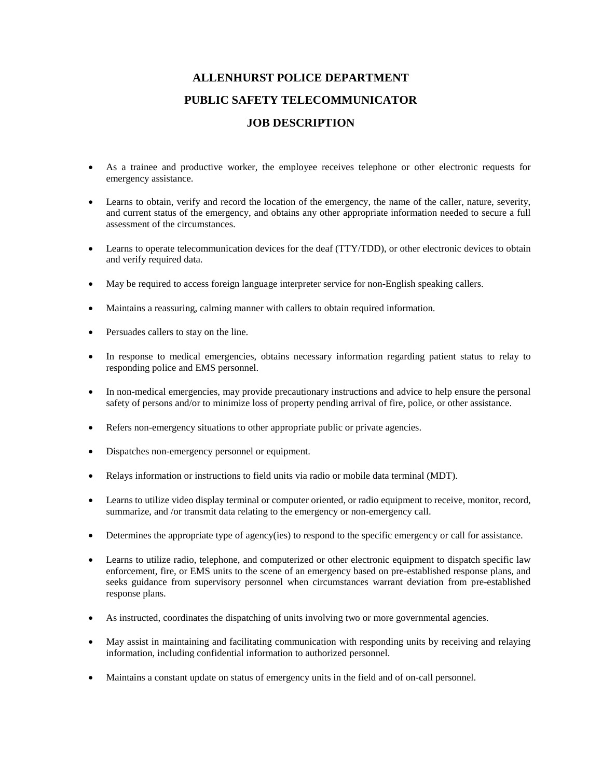## **ALLENHURST POLICE DEPARTMENT PUBLIC SAFETY TELECOMMUNICATOR JOB DESCRIPTION**

- As a trainee and productive worker, the employee receives telephone or other electronic requests for emergency assistance.
- Learns to obtain, verify and record the location of the emergency, the name of the caller, nature, severity, and current status of the emergency, and obtains any other appropriate information needed to secure a full assessment of the circumstances.
- Learns to operate telecommunication devices for the deaf (TTY/TDD), or other electronic devices to obtain and verify required data.
- May be required to access foreign language interpreter service for non-English speaking callers.
- Maintains a reassuring, calming manner with callers to obtain required information.
- Persuades callers to stay on the line.
- In response to medical emergencies, obtains necessary information regarding patient status to relay to responding police and EMS personnel.
- In non-medical emergencies, may provide precautionary instructions and advice to help ensure the personal safety of persons and/or to minimize loss of property pending arrival of fire, police, or other assistance.
- Refers non-emergency situations to other appropriate public or private agencies.
- Dispatches non-emergency personnel or equipment.
- Relays information or instructions to field units via radio or mobile data terminal (MDT).
- Learns to utilize video display terminal or computer oriented, or radio equipment to receive, monitor, record, summarize, and /or transmit data relating to the emergency or non-emergency call.
- Determines the appropriate type of agency(ies) to respond to the specific emergency or call for assistance.
- Learns to utilize radio, telephone, and computerized or other electronic equipment to dispatch specific law enforcement, fire, or EMS units to the scene of an emergency based on pre-established response plans, and seeks guidance from supervisory personnel when circumstances warrant deviation from pre-established response plans.
- As instructed, coordinates the dispatching of units involving two or more governmental agencies.
- May assist in maintaining and facilitating communication with responding units by receiving and relaying information, including confidential information to authorized personnel.
- Maintains a constant update on status of emergency units in the field and of on-call personnel.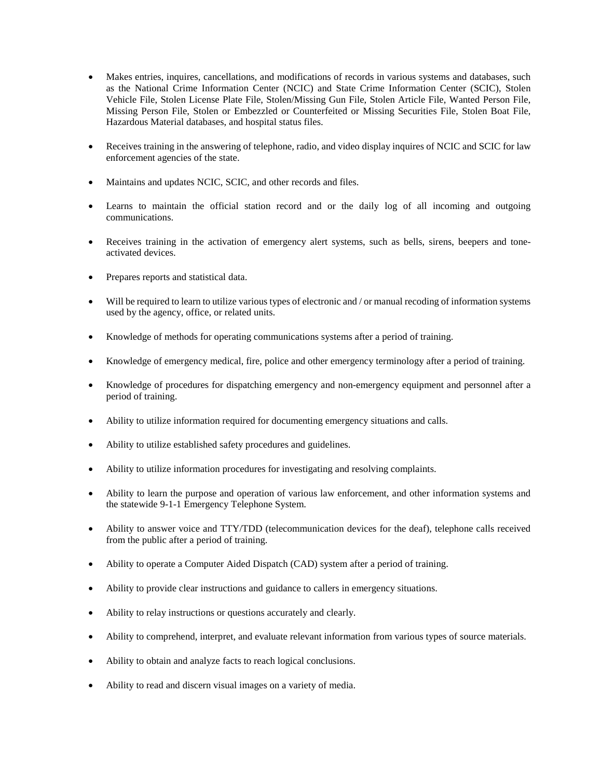- Makes entries, inquires, cancellations, and modifications of records in various systems and databases, such as the National Crime Information Center (NCIC) and State Crime Information Center (SCIC), Stolen Vehicle File, Stolen License Plate File, Stolen/Missing Gun File, Stolen Article File, Wanted Person File, Missing Person File, Stolen or Embezzled or Counterfeited or Missing Securities File, Stolen Boat File, Hazardous Material databases, and hospital status files.
- Receives training in the answering of telephone, radio, and video display inquires of NCIC and SCIC for law enforcement agencies of the state.
- Maintains and updates NCIC, SCIC, and other records and files.
- Learns to maintain the official station record and or the daily log of all incoming and outgoing communications.
- Receives training in the activation of emergency alert systems, such as bells, sirens, beepers and toneactivated devices.
- Prepares reports and statistical data.
- Will be required to learn to utilize various types of electronic and / or manual recoding of information systems used by the agency, office, or related units.
- Knowledge of methods for operating communications systems after a period of training.
- Knowledge of emergency medical, fire, police and other emergency terminology after a period of training.
- Knowledge of procedures for dispatching emergency and non-emergency equipment and personnel after a period of training.
- Ability to utilize information required for documenting emergency situations and calls.
- Ability to utilize established safety procedures and guidelines.
- Ability to utilize information procedures for investigating and resolving complaints.
- Ability to learn the purpose and operation of various law enforcement, and other information systems and the statewide 9-1-1 Emergency Telephone System.
- Ability to answer voice and TTY/TDD (telecommunication devices for the deaf), telephone calls received from the public after a period of training.
- Ability to operate a Computer Aided Dispatch (CAD) system after a period of training.
- Ability to provide clear instructions and guidance to callers in emergency situations.
- Ability to relay instructions or questions accurately and clearly.
- Ability to comprehend, interpret, and evaluate relevant information from various types of source materials.
- Ability to obtain and analyze facts to reach logical conclusions.
- Ability to read and discern visual images on a variety of media.